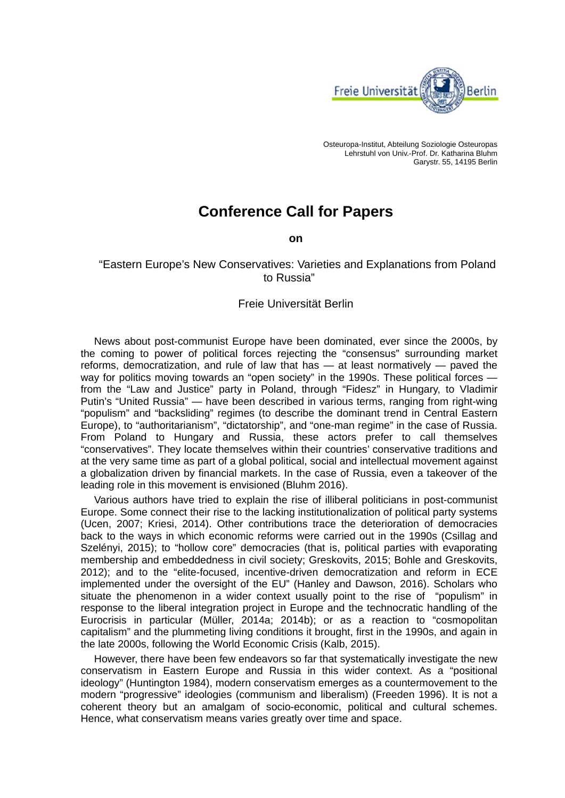

Osteuropa-Institut, Abteilung Soziologie Osteuropas Lehrstuhl von Univ.-Prof. Dr. Katharina Bluhm Garystr. 55, 14195 Berlin

## **Conference Call for Papers**

**on** 

 "Eastern Europe's New Conservatives: Varieties and Explanations from Poland to Russia"

## Freie Universität Berlin

News about post-communist Europe have been dominated, ever since the 2000s, by the coming to power of political forces rejecting the "consensus" surrounding market reforms, democratization, and rule of law that has — at least normatively — paved the way for politics moving towards an "open society" in the 1990s. These political forces from the "Law and Justice" party in Poland, through "Fidesz" in Hungary, to Vladimir Putin's "United Russia" — have been described in various terms, ranging from right-wing "populism" and "backsliding" regimes (to describe the dominant trend in Central Eastern Europe), to "authoritarianism", "dictatorship", and "one-man regime" in the case of Russia. From Poland to Hungary and Russia, these actors prefer to call themselves "conservatives". They locate themselves within their countries' conservative traditions and at the very same time as part of a global political, social and intellectual movement against a globalization driven by financial markets. In the case of Russia, even a takeover of the leading role in this movement is envisioned (Bluhm 2016).

Various authors have tried to explain the rise of illiberal politicians in post-communist Europe. Some connect their rise to the lacking institutionalization of political party systems (Ucen, 2007; Kriesi, 2014). Other contributions trace the deterioration of democracies back to the ways in which economic reforms were carried out in the 1990s (Csillag and Szelényi, 2015); to "hollow core" democracies (that is, political parties with evaporating membership and embeddedness in civil society; Greskovits, 2015; Bohle and Greskovits, 2012); and to the "elite-focused, incentive-driven democratization and reform in ECE implemented under the oversight of the EU" (Hanley and Dawson, 2016). Scholars who situate the phenomenon in a wider context usually point to the rise of "populism" in response to the liberal integration project in Europe and the technocratic handling of the Eurocrisis in particular (Müller, 2014a; 2014b); or as a reaction to "cosmopolitan capitalism" and the plummeting living conditions it brought, first in the 1990s, and again in the late 2000s, following the World Economic Crisis (Kalb, 2015).

However, there have been few endeavors so far that systematically investigate the new conservatism in Eastern Europe and Russia in this wider context. As a "positional ideology" (Huntington 1984), modern conservatism emerges as a countermovement to the modern "progressive" ideologies (communism and liberalism) (Freeden 1996). It is not a coherent theory but an amalgam of socio-economic, political and cultural schemes. Hence, what conservatism means varies greatly over time and space.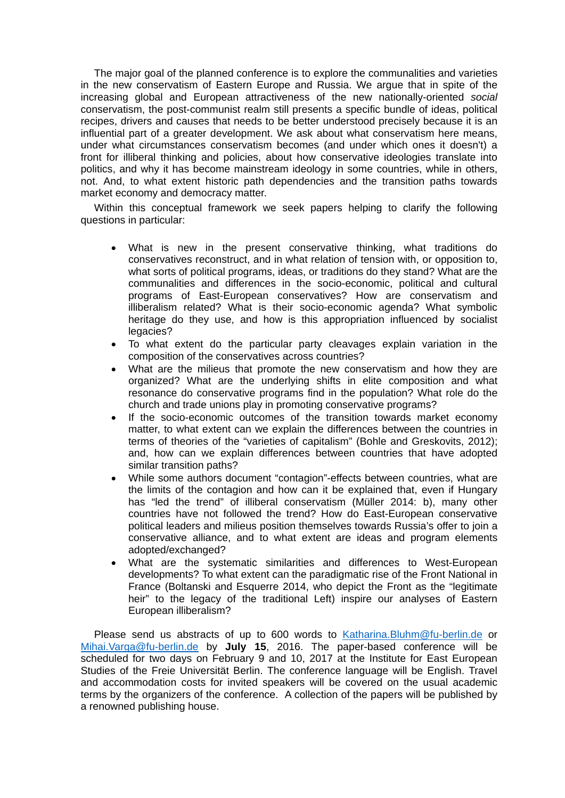The major goal of the planned conference is to explore the communalities and varieties in the new conservatism of Eastern Europe and Russia. We argue that in spite of the increasing global and European attractiveness of the new nationally-oriented *social* conservatism, the post-communist realm still presents a specific bundle of ideas, political recipes, drivers and causes that needs to be better understood precisely because it is an influential part of a greater development. We ask about what conservatism here means, under what circumstances conservatism becomes (and under which ones it doesn't) a front for illiberal thinking and policies, about how conservative ideologies translate into politics, and why it has become mainstream ideology in some countries, while in others, not. And, to what extent historic path dependencies and the transition paths towards market economy and democracy matter.

Within this conceptual framework we seek papers helping to clarify the following questions in particular:

- What is new in the present conservative thinking, what traditions do conservatives reconstruct, and in what relation of tension with, or opposition to, what sorts of political programs, ideas, or traditions do they stand? What are the communalities and differences in the socio-economic, political and cultural programs of East-European conservatives? How are conservatism and illiberalism related? What is their socio-economic agenda? What symbolic heritage do they use, and how is this appropriation influenced by socialist legacies?
- To what extent do the particular party cleavages explain variation in the composition of the conservatives across countries?
- What are the milieus that promote the new conservatism and how they are organized? What are the underlying shifts in elite composition and what resonance do conservative programs find in the population? What role do the church and trade unions play in promoting conservative programs?
- If the socio-economic outcomes of the transition towards market economy matter, to what extent can we explain the differences between the countries in terms of theories of the "varieties of capitalism" (Bohle and Greskovits, 2012); and, how can we explain differences between countries that have adopted similar transition paths?
- While some authors document "contagion"-effects between countries, what are the limits of the contagion and how can it be explained that, even if Hungary has "led the trend" of illiberal conservatism (Müller 2014: b), many other countries have not followed the trend? How do East-European conservative political leaders and milieus position themselves towards Russia's offer to join a conservative alliance, and to what extent are ideas and program elements adopted/exchanged?
- What are the systematic similarities and differences to West-European developments? To what extent can the paradigmatic rise of the Front National in France (Boltanski and Esquerre 2014, who depict the Front as the "legitimate heir" to the legacy of the traditional Left) inspire our analyses of Eastern European illiberalism?

Please send us abstracts of up to 600 words to Katharina.Bluhm@fu-berlin.de or Mihai.Varga@fu-berlin.de by **July 15**, 2016. The paper-based conference will be scheduled for two days on February 9 and 10, 2017 at the Institute for East European Studies of the Freie Universität Berlin. The conference language will be English. Travel and accommodation costs for invited speakers will be covered on the usual academic terms by the organizers of the conference. A collection of the papers will be published by a renowned publishing house.